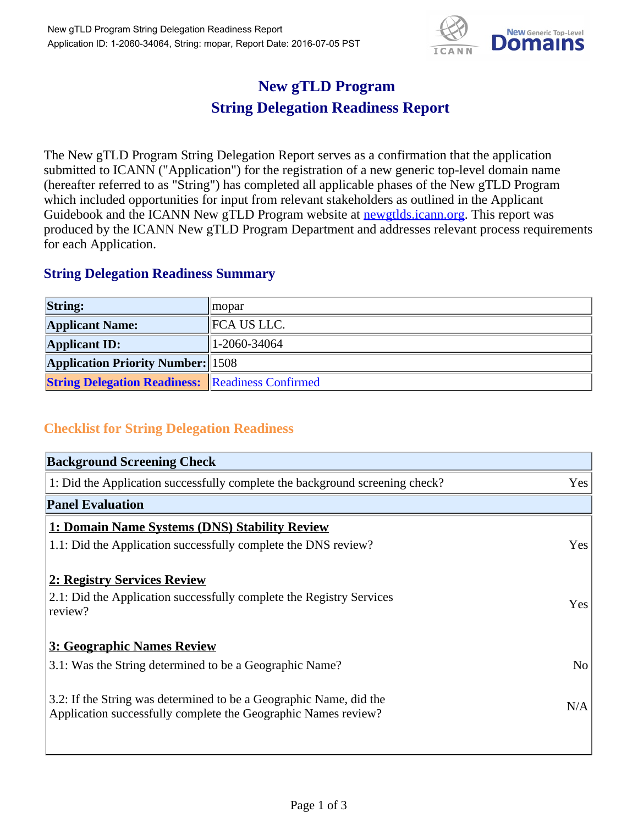

## **New gTLD Program String Delegation Readiness Report**

The New gTLD Program String Delegation Report serves as a confirmation that the application submitted to ICANN ("Application") for the registration of a new generic top-level domain name (hereafter referred to as "String") has completed all applicable phases of the New gTLD Program which included opportunities for input from relevant stakeholders as outlined in the Applicant Guidebook and the ICANN New gTLD Program website at newgtlds.icann.org. This report was produced by the ICANN New gTLD Program Department and addresses relevant process requirements for each Application.

## **String Delegation Readiness Summary**

| <b>String:</b>                                          | $ $ mopar          |
|---------------------------------------------------------|--------------------|
| <b>Applicant Name:</b>                                  | <b>FCA US LLC.</b> |
| <b>Applicant ID:</b>                                    | 1-2060-34064       |
| <b>Application Priority Number:</b> 1508                |                    |
| <b>String Delegation Readiness: Readiness Confirmed</b> |                    |

## **Checklist for String Delegation Readiness**

| <b>Background Screening Check</b>                                               |                |
|---------------------------------------------------------------------------------|----------------|
| 1: Did the Application successfully complete the background screening check?    | Yes            |
| <b>Panel Evaluation</b>                                                         |                |
| 1: Domain Name Systems (DNS) Stability Review                                   |                |
| 1.1: Did the Application successfully complete the DNS review?                  | Yes            |
| 2: Registry Services Review                                                     |                |
|                                                                                 |                |
| 2.1: Did the Application successfully complete the Registry Services<br>review? | <b>Yes</b>     |
|                                                                                 |                |
| 3: Geographic Names Review                                                      |                |
| 3.1: Was the String determined to be a Geographic Name?                         | N <sub>0</sub> |
| 3.2: If the String was determined to be a Geographic Name, did the              |                |
| Application successfully complete the Geographic Names review?                  | N/A            |
|                                                                                 |                |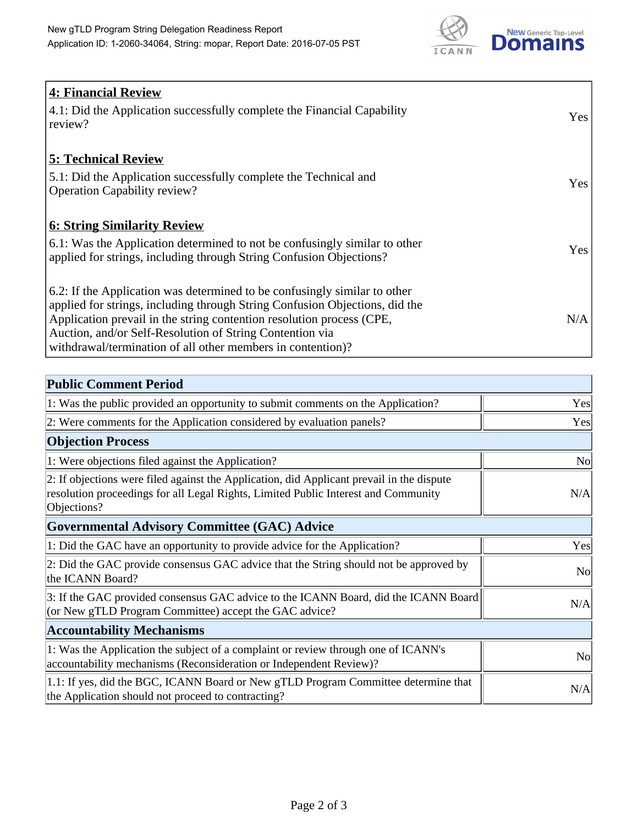

| <b>4: Financial Review</b><br>$\vert$ 4.1: Did the Application successfully complete the Financial Capability |            |
|---------------------------------------------------------------------------------------------------------------|------------|
| review?                                                                                                       | <b>Yes</b> |
| <b>5: Technical Review</b>                                                                                    |            |
| 5.1: Did the Application successfully complete the Technical and                                              | <b>Yes</b> |
| <b>Operation Capability review?</b>                                                                           |            |
| <b>6: String Similarity Review</b>                                                                            |            |
| $\vert$ 6.1: Was the Application determined to not be confusingly similar to other                            | Yes        |
| applied for strings, including through String Confusion Objections?                                           |            |
| 6.2: If the Application was determined to be confusingly similar to other                                     |            |
| applied for strings, including through String Confusion Objections, did the                                   |            |
| Application prevail in the string contention resolution process (CPE,                                         | N/A        |
| Auction, and/or Self-Resolution of String Contention via                                                      |            |
| withdrawal/termination of all other members in contention)?                                                   |            |

| <b>Public Comment Period</b>                                                                                                                                                                   |                |
|------------------------------------------------------------------------------------------------------------------------------------------------------------------------------------------------|----------------|
| 1: Was the public provided an opportunity to submit comments on the Application?                                                                                                               | Yes            |
| 2: Were comments for the Application considered by evaluation panels?                                                                                                                          | Yes            |
| <b>Objection Process</b>                                                                                                                                                                       |                |
| 1: Were objections filed against the Application?                                                                                                                                              | <b>No</b>      |
| 2: If objections were filed against the Application, did Applicant prevail in the dispute<br>resolution proceedings for all Legal Rights, Limited Public Interest and Community<br>Objections? | N/A            |
| <b>Governmental Advisory Committee (GAC) Advice</b>                                                                                                                                            |                |
| 1: Did the GAC have an opportunity to provide advice for the Application?                                                                                                                      | Yes            |
| 2: Did the GAC provide consensus GAC advice that the String should not be approved by<br>the ICANN Board?                                                                                      | <b>No</b>      |
| 3: If the GAC provided consensus GAC advice to the ICANN Board, did the ICANN Board<br>(or New gTLD Program Committee) accept the GAC advice?                                                  | N/A            |
| <b>Accountability Mechanisms</b>                                                                                                                                                               |                |
| 1: Was the Application the subject of a complaint or review through one of ICANN's<br>accountability mechanisms (Reconsideration or Independent Review)?                                       | N <sub>0</sub> |
| 1.1: If yes, did the BGC, ICANN Board or New gTLD Program Committee determine that<br>the Application should not proceed to contracting?                                                       | N/A            |